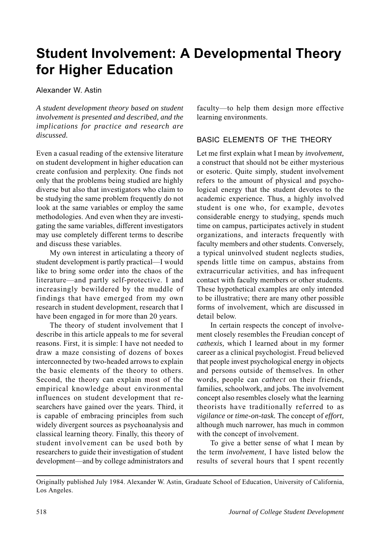# **Student Involvement: A Developmental Theory for Higher Education**

Alexander W. Astin

*A student development theory based on student involvement is presented and described, and the implications for practice and research are discussed.*

Even a casual reading of the extensive literature on student development in higher education can create confusion and perplexity. One finds not only that the problems being studied are highly diverse but also that investigators who claim to be studying the same problem frequently do not look at the same variables or employ the same methodologies. And even when they are investigating the same variables, different investigators may use completely different terms to describe and discuss these variables.

My own interest in articulating a theory of student development is partly practical—I would like to bring some order into the chaos of the literature—and partly self-protective. I and increasingly bewildered by the muddle of findings that have emerged from my own research in student development, research that I have been engaged in for more than 20 years.

The theory of student involvement that I describe in this article appeals to me for several reasons. First, it is simple: I have not needed to draw a maze consisting of dozens of boxes interconnected by two-headed arrows to explain the basic elements of the theory to others. Second, the theory can explain most of the empirical knowledge about environmental influences on student development that researchers have gained over the years. Third, it is capable of embracing principles from such widely divergent sources as psychoanalysis and classical learning theory. Finally, this theory of student involvement can be used both by researchers to guide their investigation of student development—and by college administrators and

faculty—to help them design more effective learning environments.

# BASIC ELEMENTS OF THE THEORY

Let me first explain what I mean by *involvement,* a construct that should not be either mysterious or esoteric. Quite simply, student involvement refers to the amount of physical and psychological energy that the student devotes to the academic experience. Thus, a highly involved student is one who, for example, devotes considerable energy to studying, spends much time on campus, participates actively in student organizations, and interacts frequently with faculty members and other students. Conversely, a typical uninvolved student neglects studies, spends little time on campus, abstains from extracurricular activities, and has infrequent contact with faculty members or other students. These hypothetical examples are only intended to be illustrative; there are many other possible forms of involvement, which are discussed in detail below.

In certain respects the concept of involvement closely resembles the Freudian concept of *cathexis,* which I learned about in my former career as a clinical psychologist. Freud believed that people invest psychological energy in objects and persons outside of themselves. In other words, people can *cathect* on their friends, families, schoolwork, and jobs. The involvement concept also resembles closely what the learning theorists have traditionally referred to as *vigilance* or *time-on-task.* The concept of *effort,* although much narrower, has much in common with the concept of involvement.

To give a better sense of what I mean by the term *involvement*, I have listed below the results of several hours that I spent recently

Originally published July 1984. Alexander W. Astin, Graduate School of Education, University of California, Los Angeles.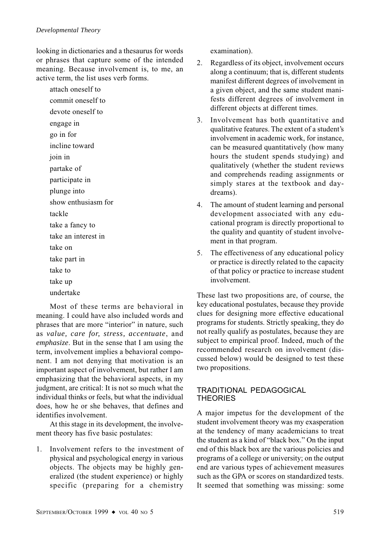looking in dictionaries and a thesaurus for words or phrases that capture some of the intended meaning. Because involvement is, to me, an active term, the list uses verb forms.

attach oneself to commit oneself to devote oneself to engage in go in for incline toward join in partake of participate in plunge into show enthusiasm for tackle take a fancy to take an interest in take on take part in take to take up undertake

Most of these terms are behavioral in meaning. I could have also included words and phrases that are more "interior" in nature, such as *value, care for, stress, accentuate*, and *emphasize*. But in the sense that I am using the term, involvement implies a behavioral component. I am not denying that motivation is an important aspect of involvement, but rather I am emphasizing that the behavioral aspects, in my judgment, are critical: It is not so much what the individual thinks or feels, but what the individual does, how he or she behaves, that defines and identifies involvement.

At this stage in its development, the involvement theory has five basic postulates:

1. Involvement refers to the investment of physical and psychological energy in various objects. The objects may be highly generalized (the student experience) or highly specific (preparing for a chemistry examination).

- 2. Regardless of its object, involvement occurs along a continuum; that is, different students manifest different degrees of involvement in a given object, and the same student manifests different degrees of involvement in different objects at different times.
- 3. Involvement has both quantitative and qualitative features. The extent of a student's involvement in academic work, for instance, can be measured quantitatively (how many hours the student spends studying) and qualitatively (whether the student reviews and comprehends reading assignments or simply stares at the textbook and daydreams).
- 4. The amount of student learning and personal development associated with any educational program is directly proportional to the quality and quantity of student involvement in that program.
- 5. The effectiveness of any educational policy or practice is directly related to the capacity of that policy or practice to increase student involvement.

These last two propositions are, of course, the key educational postulates, because they provide clues for designing more effective educational programs for students. Strictly speaking, they do not really qualify as postulates, because they are subject to empirical proof. Indeed, much of the recommended research on involvement (discussed below) would be designed to test these two propositions.

## TRADITIONAL PEDAGOGICAL THEORIES

A major impetus for the development of the student involvement theory was my exasperation at the tendency of many academicians to treat the student as a kind of "black box." On the input end of this black box are the various policies and programs of a college or university; on the output end are various types of achievement measures such as the GPA or scores on standardized tests. It seemed that something was missing: some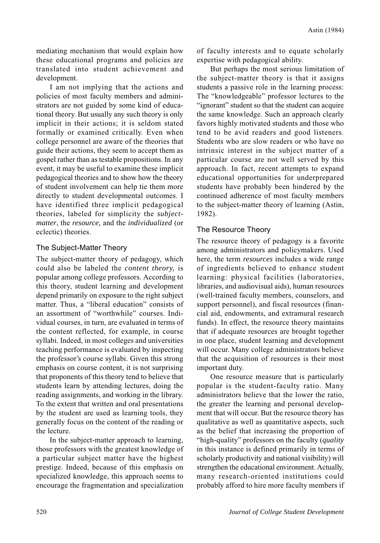mediating mechanism that would explain how these educational programs and policies are translated into student achievement and development.

I am not implying that the actions and policies of most faculty members and administrators are not guided by some kind of educational theory. But usually any such theory is only implicit in their actions; it is seldom stated formally or examined critically. Even when college personnel are aware of the theories that guide their actions, they seem to accept them as gospel rather than as testable propositions. In any event, it may be useful to examine these implicit pedagogical theories and to show how the theory of student involvement can help tie them more directly to student developmental outcomes. I have identified three implicit pedagogical theories, labeled for simplicity the *subjectmatter*, the *resource,* and the *individualized* (or eclectic) theories.

## The Subject-Matter Theory

The subject-matter theory of pedagogy, which could also be labeled the *content theory,* is popular among college professors. According to this theory, student learning and development depend primarily on exposure to the right subject matter. Thus, a "liberal education" consists of an assortment of "worthwhile" courses. Individual courses, in turn, are evaluated in terms of the content reflected, for example, in course syllabi. Indeed, in most colleges and universities teaching performance is evaluated by inspecting the professor's course syllabi. Given this strong emphasis on course content, it is not surprising that proponents of this theory tend to believe that students learn by attending lectures, doing the reading assignments, and working in the library. To the extent that written and oral presentations by the student are used as learning tools, they generally focus on the content of the reading or the lecture.

In the subject-matter approach to learning, those professors with the greatest knowledge of a particular subject matter have the highest prestige. Indeed, because of this emphasis on specialized knowledge, this approach seems to encourage the fragmentation and specialization of faculty interests and to equate scholarly expertise with pedagogical ability.

But perhaps the most serious limitation of the subject-matter theory is that it assigns students a passive role in the learning process: The "knowledgeable" professor lectures to the "ignorant" student so that the student can acquire the same knowledge. Such an approach clearly favors highly motivated students and those who tend to be avid readers and good listeners. Students who are slow readers or who have no intrinsic interest in the subject matter of a particular course are not well served by this approach. In fact, recent attempts to expand educational opportunities for underprepared students have probably been hindered by the continued adherence of most faculty members to the subject-matter theory of learning (Astin, 1982).

#### The Resource Theory

The resource theory of pedagogy is a favorite among administrators and policymakers. Used here, the term *resources* includes a wide range of ingredients believed to enhance student learning: physical facilities (laboratories, libraries, and audiovisual aids), human resources (well-trained faculty members, counselors, and support personnel), and fiscal resources (financial aid, endowments, and extramural research funds). In effect, the resource theory maintains that if adequate resources are brought together in one place, student learning and development will occur. Many college administrators believe that the acquisition of resources is their most important duty.

One resource measure that is particularly popular is the student-faculty ratio. Many administrators believe that the lower the ratio, the greater the learning and personal development that will occur. But the resource theory has qualitative as well as quantitative aspects, such as the belief that increasing the proportion of "high-quality" professors on the faculty (*quality* in this instance is defined primarily in terms of scholarly productivity and national visibility) will strengthen the educational environment. Actually, many research-oriented institutions could probably afford to hire more faculty members if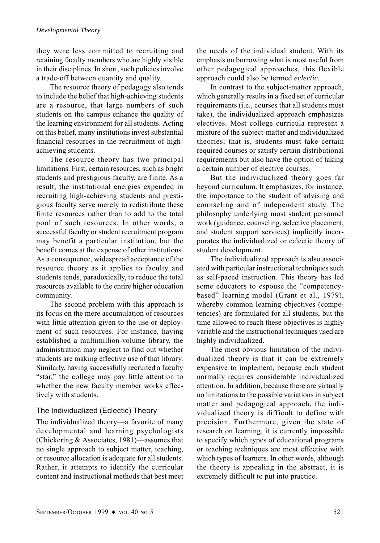they were less committed to recruiting and retaining faculty members who are highly visible in their disciplines. In short, such policies involve a trade-off between quantity and quality.

The resource theory of pedagogy also tends to include the belief that high-achieving students are a resource, that large numbers of such students on the campus enhance the quality of the learning environment for all students. Acting on this belief, many institutions invest substantial financial resources in the recruitment of highachieving students.

The resource theory has two principal limitations. First, certain resources, such as bright students and prestigious faculty, are finite. As a result, the institutional energies expended in recruiting high-achieving students and prestigious faculty serve merely to redistribute these finite resources rather than to add to the total pool of such resources. In other words, a successful faculty or student recruitment program may benefit a particular institution, but the benefit comes at the expense of other institutions. As a consequence, widespread acceptance of the resource theory as it applies to faculty and students tends, paradoxically, to reduce the total resources available to the entire higher education community.

The second problem with this approach is its focus on the mere accumulation of resources with little attention given to the use or deployment of such resources. For instance, having established a multimillion-volume library, the administration may neglect to find out whether students are making effective use of that library. Similarly, having successfully recruited a faculty "star," the college may pay little attention to whether the new faculty member works effectively with students.

## The Individualized (Eclectic) Theory

The individualized theory—a favorite of many developmental and learning psychologists (Chickering & Associates, 1981)—assumes that no single approach to subject matter, teaching, or resource allocation is adequate for all students. Rather, it attempts to identify the curricular content and instructional methods that best meet

the needs of the individual student. With its emphasis on borrowing what is most useful from other pedagogical approaches, this flexible approach could also be termed *eclectic.*

In contrast to the subject-matter approach, which generally results in a fixed set of curricular requirements (i.e., courses that all students must take), the individualized approach emphasizes electives. Most college curricula represent a mixture of the subject-matter and individualized theories; that is, students must take certain required courses or satisfy certain distributional requirements but also have the option of taking a certain number of elective courses.

But the individualized theory goes far beyond curriculum. It emphasizes, for instance, the importance to the student of advising and counseling and of independent study. The philosophy underlying most student personnel work (guidance, counseling, selective placement, and student support services) implicitly incorporates the individualized or eclectic theory of student development.

The individualized approach is also associated with particular instructional techniques such as self-paced instruction. This theory has led some educators to espouse the "competencybased" learning model (Grant et al., 1979), whereby common learning objectives (competencies) are formulated for all students, but the time allowed to reach these objectives is highly variable and the instructional techniques used are highly individualized.

The most obvious limitation of the individualized theory is that it can be extremely expensive to implement, because each student normally requires considerable individualized attention. In addition, because there are virtually no limitations to the possible variations in subject matter and pedagogical approach, the individualized theory is difficult to define with precision. Furthermore, given the state of research on learning, it is currently impossible to specify which types of educational programs or teaching techniques are most effective with which types of learners. In other words, although the theory is appealing in the abstract, it is extremely difficult to put into practice.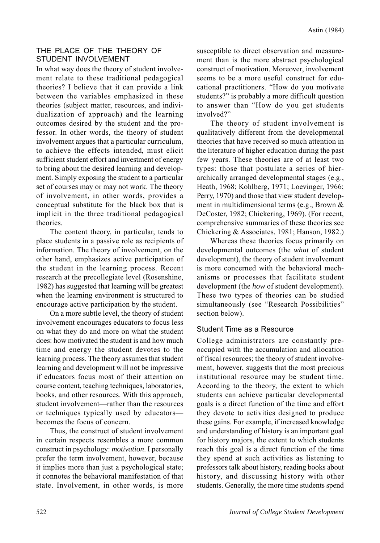## THE PLACE OF THE THEORY OF STUDENT INVOLVEMENT

In what way does the theory of student involvement relate to these traditional pedagogical theories? I believe that it can provide a link between the variables emphasized in these theories (subject matter, resources, and individualization of approach) and the learning outcomes desired by the student and the professor. In other words, the theory of student involvement argues that a particular curriculum, to achieve the effects intended, must elicit sufficient student effort and investment of energy to bring about the desired learning and development. Simply exposing the student to a particular set of courses may or may not work. The theory of involvement, in other words, provides a conceptual substitute for the black box that is implicit in the three traditional pedagogical theories.

The content theory, in particular, tends to place students in a passive role as recipients of information. The theory of involvement, on the other hand, emphasizes active participation of the student in the learning process. Recent research at the precollegiate level (Rosenshine, 1982) has suggested that learning will be greatest when the learning environment is structured to encourage active participation by the student.

On a more subtle level, the theory of student involvement encourages educators to focus less on what they do and more on what the student does: how motivated the student is and how much time and energy the student devotes to the learning process. The theory assumes that student learning and development will not be impressive if educators focus most of their attention on course content, teaching techniques, laboratories, books, and other resources. With this approach, student involvement—rather than the resources or techniques typically used by educators becomes the focus of concern.

Thus, the construct of student involvement in certain respects resembles a more common construct in psychology: *motivation*. I personally prefer the term involvement, however, because it implies more than just a psychological state; it connotes the behavioral manifestation of that state. Involvement, in other words, is more susceptible to direct observation and measurement than is the more abstract psychological construct of motivation. Moreover, involvement seems to be a more useful construct for educational practitioners. "How do you motivate students?" is probably a more difficult question to answer than "How do you get students involved?"

The theory of student involvement is qualitatively different from the developmental theories that have received so much attention in the literature of higher education during the past few years. These theories are of at least two types: those that postulate a series of hierarchically arranged developmental stages (e.g., Heath, 1968; Kohlberg, 1971; Loevinger, 1966; Perry, 1970) and those that view student development in multidimensional terms (e.g., Brown & DeCoster, 1982; Chickering, 1969). (For recent, comprehensive summaries of these theories see Chickering & Associates, 1981; Hanson, 1982.)

Whereas these theories focus primarily on developmental outcomes (the *what* of student development), the theory of student involvement is more concerned with the behavioral mechanisms or processes that facilitate student development (the *how* of student development). These two types of theories can be studied simultaneously (see "Research Possibilities" section below).

## Student Time as a Resource

College administrators are constantly preoccupied with the accumulation and allocation of fiscal resources; the theory of student involvement, however, suggests that the most precious institutional resource may be student time. According to the theory, the extent to which students can achieve particular developmental goals is a direct function of the time and effort they devote to activities designed to produce these gains. For example, if increased knowledge and understanding of history is an important goal for history majors, the extent to which students reach this goal is a direct function of the time they spend at such activities as listening to professors talk about history, reading books about history, and discussing history with other students. Generally, the more time students spend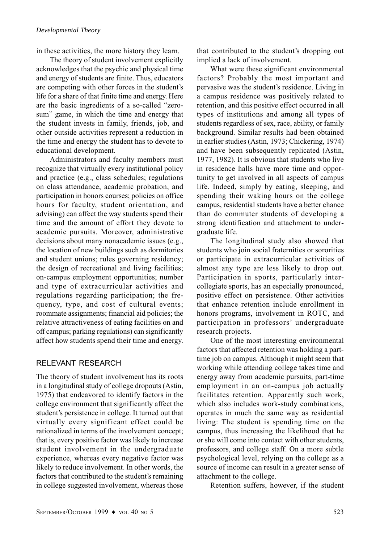in these activities, the more history they learn.

The theory of student involvement explicitly acknowledges that the psychic and physical time and energy of students are finite. Thus, educators are competing with other forces in the student's life for a share of that finite time and energy. Here are the basic ingredients of a so-called "zerosum" game, in which the time and energy that the student invests in family, friends, job, and other outside activities represent a reduction in the time and energy the student has to devote to educational development.

Administrators and faculty members must recognize that virtually every institutional policy and practice (e.g., class schedules; regulations on class attendance, academic probation, and participation in honors courses; policies on office hours for faculty, student orientation, and advising) can affect the way students spend their time and the amount of effort they devote to academic pursuits. Moreover, administrative decisions about many nonacademic issues (e.g., the location of new buildings such as dormitories and student unions; rules governing residency; the design of recreational and living facilities; on-campus employment opportunities; number and type of extracurricular activities and regulations regarding participation; the frequency, type, and cost of cultural events; roommate assignments; financial aid policies; the relative attractiveness of eating facilities on and off campus; parking regulations) can significantly affect how students spend their time and energy.

## RELEVANT RESEARCH

The theory of student involvement has its roots in a longitudinal study of college dropouts (Astin, 1975) that endeavored to identify factors in the college environment that significantly affect the student's persistence in college. It turned out that virtually every significant effect could be rationalized in terms of the involvement concept; that is, every positive factor was likely to increase student involvement in the undergraduate experience, whereas every negative factor was likely to reduce involvement. In other words, the factors that contributed to the student's remaining in college suggested involvement, whereas those

that contributed to the student's dropping out implied a lack of involvement.

What were these significant environmental factors? Probably the most important and pervasive was the student's residence. Living in a campus residence was positively related to retention, and this positive effect occurred in all types of institutions and among all types of students regardless of sex, race, ability, or family background. Similar results had been obtained in earlier studies (Astin, 1973; Chickering, 1974) and have been subsequently replicated (Astin, 1977, 1982). It is obvious that students who live in residence halls have more time and opportunity to get involved in all aspects of campus life. Indeed, simply by eating, sleeping, and spending their waking hours on the college campus, residential students have a better chance than do commuter students of developing a strong identification and attachment to undergraduate life.

The longitudinal study also showed that students who join social fraternities or sororities or participate in extracurricular activities of almost any type are less likely to drop out. Participation in sports, particularly intercollegiate sports, has an especially pronounced, positive effect on persistence. Other activities that enhance retention include enrollment in honors programs, involvement in ROTC, and participation in professors' undergraduate research projects.

One of the most interesting environmental factors that affected retention was holding a parttime job on campus. Although it might seem that working while attending college takes time and energy away from academic pursuits, part-time employment in an on-campus job actually facilitates retention. Apparently such work, which also includes work-study combinations, operates in much the same way as residential living: The student is spending time on the campus, thus increasing the likelihood that he or she will come into contact with other students, professors, and college staff. On a more subtle psychological level, relying on the college as a source of income can result in a greater sense of attachment to the college.

Retention suffers, however, if the student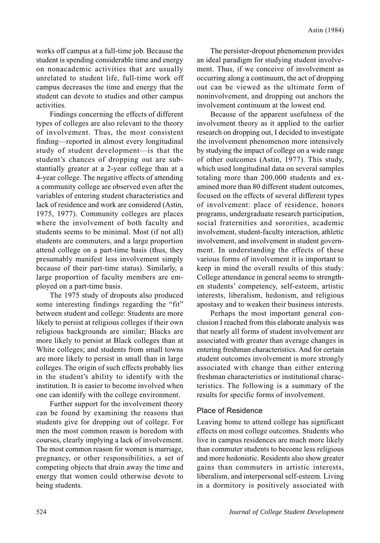works off campus at a full-time job. Because the student is spending considerable time and energy on nonacademic activities that are usually unrelated to student life, full-time work off campus decreases the time and energy that the student can devote to studies and other campus activities.

Findings concerning the effects of different types of colleges are also relevant to the theory of involvement. Thus, the most consistent finding—reported in almost every longitudinal study of student development—is that the student's chances of dropping out are substantially greater at a 2-year college than at a 4-year college. The negative effects of attending a community college are observed even after the variables of entering student characteristics and lack of residence and work are considered (Astin, 1975, 1977). Community colleges are places where the involvement of both faculty and students seems to be minimal. Most (if not all) students are commuters, and a large proportion attend college on a part-time basis (thus, they presumably manifest less involvement simply because of their part-time status). Similarly, a large proportion of faculty members are employed on a part-time basis.

The 1975 study of dropouts also produced some interesting findings regarding the "fit" between student and college: Students are more likely to persist at religious colleges if their own religious backgrounds are similar; Blacks are more likely to persist at Black colleges than at White colleges; and students from small towns are more likely to persist in small than in large colleges. The origin of such effects probably lies in the student's ability to identify with the institution. It is easier to become involved when one can identify with the college environment.

Further support for the involvement theory can be found by examining the reasons that students give for dropping out of college. For men the most common reason is boredom with courses, clearly implying a lack of involvement. The most common reason for women is marriage, pregnancy, or other responsibilities, a set of competing objects that drain away the time and energy that women could otherwise devote to being students.

The persister-dropout phenomenon provides an ideal paradigm for studying student involvement. Thus, if we conceive of involvement as occurring along a continuum, the act of dropping out can be viewed as the ultimate form of noninvolvement, and dropping out anchors the involvement continuum at the lowest end.

Because of the apparent usefulness of the involvement theory as it applied to the earlier research on dropping out, I decided to investigate the involvement phenomenon more intensively by studying the impact of college on a wide range of other outcomes (Astin, 1977). This study, which used longitudinal data on several samples totaling more than 200,000 students and examined more than 80 different student outcomes, focused on the effects of several different types of involvement: place of residence, honors programs, undergraduate research participation, social fraternities and sororities, academic involvement, student-faculty interaction, athletic involvement, and involvement in student government. In understanding the effects of these various forms of involvement it is important to keep in mind the overall results of this study: College attendance in general seems to strengthen students' competency, self-esteem, artistic interests, liberalism, hedonism, and religious apostasy and to weaken their business interests.

Perhaps the most important general conclusion I reached from this elaborate analysis was that nearly all forms of student involvement are associated with greater than average changes in entering freshman characteristics. And for certain student outcomes involvement is more strongly associated with change than either entering freshman characteristics or institutional characteristics. The following is a summary of the results for specific forms of involvement.

## Place of Residence

Leaving home to attend college has significant effects on most college outcomes. Students who live in campus residences are much more likely than commuter students to become less religious and more hedonistic. Residents also show greater gains than commuters in artistic interests, liberalism, and interpersonal self-esteem. Living in a dormitory is positively associated with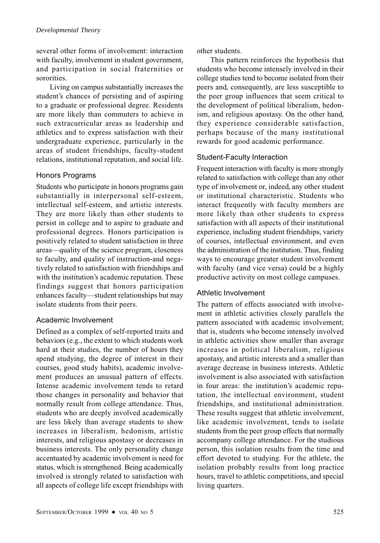several other forms of involvement: interaction with faculty, involvement in student government, and participation in social fraternities or sororities.

Living on campus substantially increases the student's chances of persisting and of aspiring to a graduate or professional degree. Residents are more likely than commuters to achieve in such extracurricular areas as leadership and athletics and to express satisfaction with their undergraduate experience, particularly in the areas of student friendships, faculty-student relations, institutional reputation, and social life.

## Honors Programs

Students who participate in honors programs gain substantially in interpersonal self-esteem, intellectual self-esteem, and artistic interests. They are more likely than other students to persist in college and to aspire to graduate and professional degrees. Honors participation is positively related to student satisfaction in three areas—quality of the science program, closeness to faculty, and quality of instruction-and negatively related to satisfaction with friendships and with the institution's academic reputation. These findings suggest that honors participation enhances faculty—student relationships but may isolate students from their peers.

## Academic Involvement

Defined as a complex of self-reported traits and behaviors (e.g., the extent to which students work hard at their studies, the number of hours they spend studying, the degree of interest in their courses, good study habits), academic involvement produces an unusual pattern of effects. Intense academic involvement tends to retard those changes in personality and behavior that normally result from college attendance. Thus, students who are deeply involved academically are less likely than average students to show increases in liberalism, hedonism, artistic interests, and religious apostasy or decreases in business interests. The only personality change accentuated by academic involvement is need for status, which is strengthened. Being academically involved is strongly related to satisfaction with all aspects of college life except friendships with

other students.

This pattern reinforces the hypothesis that students who become intensely involved in their college studies tend to become isolated from their peers and, consequently, are less susceptible to the peer group influences that seem critical to the development of political liberalism, hedonism, and religious apostasy. On the other hand, they experience considerable satisfaction, perhaps because of the many institutional rewards for good academic performance.

## Student-Faculty Interaction

Frequent interaction with faculty is more strongly related to satisfaction with college than any other type of involvement or, indeed, any other student or institutional characteristic. Students who interact frequently with faculty members are more likely than other students to express satisfaction with all aspects of their institutional experience, including student friendships, variety of courses, intellectual environment, and even the administration of the institution. Thus, finding ways to encourage greater student involvement with faculty (and vice versa) could be a highly productive activity on most college campuses.

## Athletic Involvement

The pattern of effects associated with involvement in athletic activities closely parallels the pattern associated with academic involvement; that is, students who become intensely involved in athletic activities show smaller than average increases in political liberalism, religious apostasy, and artistic interests and a smaller than average decrease in business interests. Athletic involvement is also associated with satisfaction in four areas: the institution's academic reputation, the intellectual environment, student friendships, and institutional administration. These results suggest that athletic involvement, like academic involvement, tends to isolate students from the peer group effects that normally accompany college attendance. For the studious person, this isolation results from the time and effort devoted to studying. For the athlete, the isolation probably results from long practice hours, travel to athletic competitions, and special living quarters.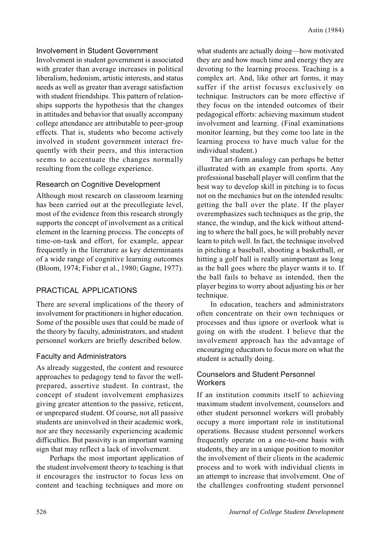#### Involvement in Student Government

Involvement in student government is associated with greater than average increases in political liberalism, hedonism, artistic interests, and status needs as well as greater than average satisfaction with student friendships. This pattern of relationships supports the hypothesis that the changes in attitudes and behavior that usually accompany college attendance are attributable to peer-group effects. That is, students who become actively involved in student government interact frequently with their peers, and this interaction seems to accentuate the changes normally resulting from the college experience.

#### Research on Cognitive Development

Although most research on classroom learning has been carried out at the precollegiate level, most of the evidence from this research strongly supports the concept of involvement as a critical element in the learning process. The concepts of time-on-task and effort, for example, appear frequently in the literature as key determinants of a wide range of cognitive learning outcomes (Bloom, 1974; Fisher et al., 1980; Gagne, 1977).

## PRACTICAL APPLICATIONS

There are several implications of the theory of involvement for practitioners in higher education. Some of the possible uses that could be made of the theory by faculty, administrators, and student personnel workers are briefly described below.

## Faculty and Administrators

As already suggested, the content and resource approaches to pedagogy tend to favor the wellprepared, assertive student. In contrast, the concept of student involvement emphasizes giving greater attention to the passive, reticent, or unprepared student. Of course, not all passive students are uninvolved in their academic work, nor are they necessarily experiencing academic difficulties. But passivity is an important warning sign that may reflect a lack of involvement.

Perhaps the most important application of the student involvement theory to teaching is that it encourages the instructor to focus less on content and teaching techniques and more on

what students are actually doing—how motivated they are and how much time and energy they are devoting to the learning process. Teaching is a complex art. And, like other art forms, it may suffer if the artist focuses exclusively on technique. Instructors can be more effective if they focus on the intended outcomes of their pedagogical efforts: achieving maximum student involvement and learning. (Final examinations monitor learning, but they come too late in the learning process to have much value for the individual student.)

The art-form analogy can perhaps be better illustrated with an example from sports. Any professional baseball player will confirm that the best way to develop skill in pitching is to focus not on the mechanics but on the intended results: getting the ball over the plate. If the player overemphasizes such techniques as the grip, the stance, the windup, and the kick without attending to where the ball goes, he will probably never learn to pitch well. In fact, the technique involved in pitching a baseball, shooting a basketball, or hitting a golf ball is really unimportant as long as the ball goes where the player wants it to. If the ball fails to behave as intended, then the player begins to worry about adjusting his or her technique.

In education, teachers and administrators often concentrate on their own techniques or processes and thus ignore or overlook what is going on with the student. I believe that the involvement approach has the advantage of encouraging educators to focus more on what the student is actually doing.

## Counselors and Student Personnel **Workers**

If an institution commits itself to achieving maximum student involvement, counselors and other student personnel workers will probably occupy a more important role in institutional operations. Because student personnel workers frequently operate on a one-to-one basis with students, they are in a unique position to monitor the involvement of their clients in the academic process and to work with individual clients in an attempt to increase that involvement. One of the challenges confronting student personnel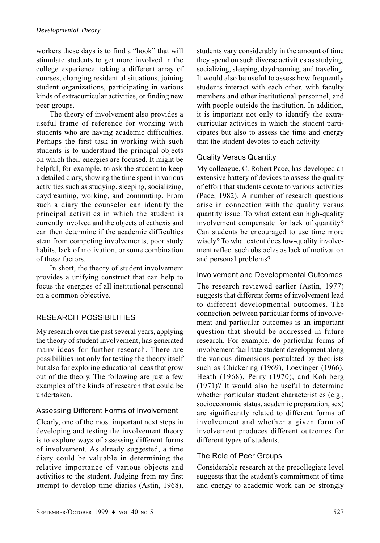workers these days is to find a "hook" that will stimulate students to get more involved in the college experience: taking a different array of courses, changing residential situations, joining student organizations, participating in various kinds of extracurricular activities, or finding new peer groups.

The theory of involvement also provides a useful frame of reference for working with students who are having academic difficulties. Perhaps the first task in working with such students is to understand the principal objects on which their energies are focused. It might be helpful, for example, to ask the student to keep a detailed diary, showing the time spent in various activities such as studying, sleeping, socializing, daydreaming, working, and commuting. From such a diary the counselor can identify the principal activities in which the student is currently involved and the objects of cathexis and can then determine if the academic difficulties stem from competing involvements, poor study habits, lack of motivation, or some combination of these factors.

In short, the theory of student involvement provides a unifying construct that can help to focus the energies of all institutional personnel on a common objective.

# RESEARCH POSSIBILITIES

My research over the past several years, applying the theory of student involvement, has generated many ideas for further research. There are possibilities not only for testing the theory itself but also for exploring educational ideas that grow out of the theory. The following are just a few examples of the kinds of research that could be undertaken.

## Assessing Different Forms of Involvement

Clearly, one of the most important next steps in developing and testing the involvement theory is to explore ways of assessing different forms of involvement. As already suggested, a time diary could be valuable in determining the relative importance of various objects and activities to the student. Judging from my first attempt to develop time diaries (Astin, 1968), students vary considerably in the amount of time they spend on such diverse activities as studying, socializing, sleeping, daydreaming, and traveling. It would also be useful to assess how frequently students interact with each other, with faculty members and other institutional personnel, and with people outside the institution. In addition, it is important not only to identify the extracurricular activities in which the student participates but also to assess the time and energy that the student devotes to each activity.

## Quality Versus Quantity

My colleague, C. Robert Pace, has developed an extensive battery of devices to assess the quality of effort that students devote to various activities (Pace, 1982). A number of research questions arise in connection with the quality versus quantity issue: To what extent can high-quality involvement compensate for lack of quantity? Can students be encouraged to use time more wisely? To what extent does low-quality involvement reflect such obstacles as lack of motivation and personal problems?

## Involvement and Developmental Outcomes

The research reviewed earlier (Astin, 1977) suggests that different forms of involvement lead to different developmental outcomes. The connection between particular forms of involvement and particular outcomes is an important question that should be addressed in future research. For example, do particular forms of involvement facilitate student development along the various dimensions postulated by theorists such as Chickering (1969), Loevinger (1966), Heath (1968), Perry (1970), and Kohlberg (1971)? It would also be useful to determine whether particular student characteristics (e.g., socioeconomic status, academic preparation, sex) are significantly related to different forms of involvement and whether a given form of involvement produces different outcomes for different types of students.

# The Role of Peer Groups

Considerable research at the precollegiate level suggests that the student's commitment of time and energy to academic work can be strongly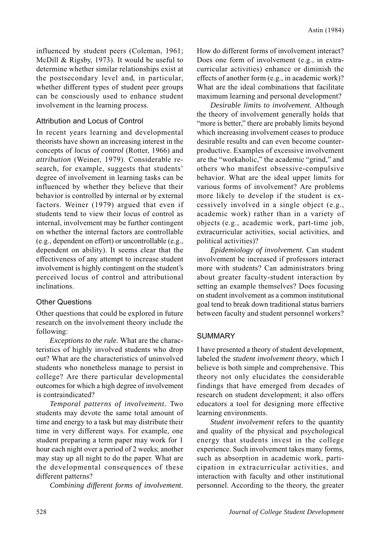influenced by student peers (Coleman, 1961; McDill & Rigsby, 1973). It would be useful to determine whether similar relationships exist at the postsecondary level and, in particular, whether different types of student peer groups can be consciously used to enhance student involvement in the learning process.

## Attribution and Locus of Control

In recent years learning and developmental theorists have shown an increasing interest in the concepts of *locus of control* (Rotter, 1966) and *attribution* (Weiner, 1979). Considerable research, for example, suggests that students' degree of involvement in learning tasks can be influenced by whether they believe that their behavior is controlled by internal or by external factors. Weiner (1979) argued that even if students tend to view their locus of control as internal, involvement may be further contingent on whether the internal factors are controllable (e.g., dependent on effort) or uncontrollable (e.g., dependent on ability). It seems clear that the effectiveness of any attempt to increase student involvement is highly contingent on the student's perceived locus of control and attributional inclinations.

## Other Questions

Other questions that could be explored in future research on the involvement theory include the following:

*Exceptions to the rule.* What are the characteristics of highly involved students who drop out? What are the characteristics of uninvolved students who nonetheless manage to persist in college? Are there particular developmental outcomes for which a high degree of involvement is contraindicated?

*Temporal patterns of involvement.* Two students may devote the same total amount of time and energy to a task but may distribute their time in very different ways. For example, one student preparing a term paper may work for 1 hour each night over a period of 2 weeks; another may stay up all night to do the paper. What are the developmental consequences of these different patterns?

*Combining different forms of involvement.*

How do different forms of involvement interact? Does one form of involvement (e.g., in extracurricular activities) enhance or diminish the effects of another form (e.g., in academic work)? What are the ideal combinations that facilitate maximum learning and personal development?

*Desirable limits to involvement.* Although the theory of involvement generally holds that "more is better," there are probably limits beyond which increasing involvement ceases to produce desirable results and can even become counterproductive. Examples of excessive involvement are the "workaholic," the academic "grind," and others who manifest obsessive-compulsive behavior. What are the ideal upper limits for various forms of involvement? Are problems more likely to develop if the student is excessively involved in a single object (e.g., academic work) rather than in a variety of objects (e.g., academic work, part-time job, extracurricular activities, social activities, and political activities)?

*Epidemiology of involvement.* Can student involvement be increased if professors interact more with students? Can administrators bring about greater faculty-student interaction by setting an example themselves? Does focusing on student involvement as a common institutional goal tend to break down traditional status barriers between faculty and student personnel workers?

# SUMMARY

I have presented a theory of student development, labeled the *student involvement theory*, which I believe is both simple and comprehensive. This theory not only elucidates the considerable findings that have emerged from decades of research on student development; it also offers educators a tool for designing more effective learning environments.

*Student involvement* refers to the quantity and quality of the physical and psychological energy that students invest in the college experience. Such involvement takes many forms, such as absorption in academic work, participation in extracurricular activities, and interaction with faculty and other institutional personnel. According to the theory, the greater